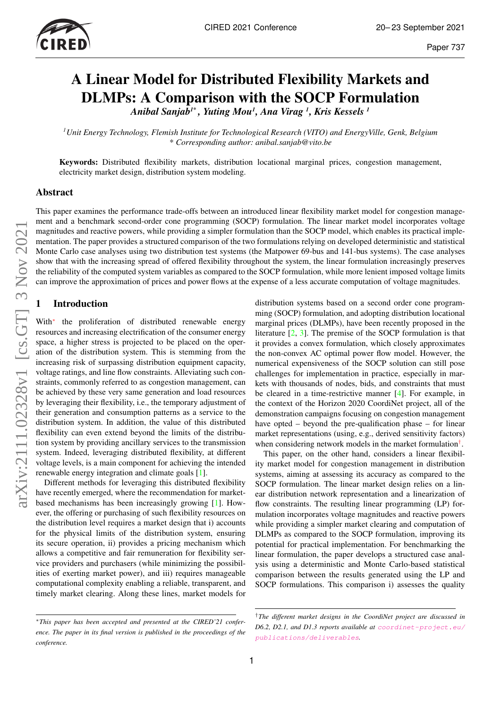

# A Linear Model for Distributed Flexibility Markets and DLMPs: A Comparison with the SOCP Formulation

*Anibal Sanjab1\* , Yuting Mou<sup>1</sup> , Ana Virag <sup>1</sup> , Kris Kessels <sup>1</sup>*

*<sup>1</sup>Unit Energy Technology, Flemish Institute for Technological Research (VITO) and EnergyVille, Genk, Belgium \* Corresponding author: anibal.sanjab@vito.be*

Keywords: Distributed flexibility markets, distribution locational marginal prices, congestion management, electricity market design, distribution system modeling.

## Abstract

This paper examines the performance trade-offs between an introduced linear flexibility market model for congestion management and a benchmark second-order cone programming (SOCP) formulation. The linear market model incorporates voltage magnitudes and reactive powers, while providing a simpler formulation than the SOCP model, which enables its practical implementation. The paper provides a structured comparison of the two formulations relying on developed deterministic and statistical Monte Carlo case analyses using two distribution test systems (the Matpower 69-bus and 141-bus systems). The case analyses show that with the increasing spread of offered flexibility throughout the system, the linear formulation increasingly preserves the reliability of the computed system variables as compared to the SOCP formulation, while more lenient imposed voltage limits can improve the approximation of prices and power flows at the expense of a less accurate computation of voltage magnitudes.

## **Introduction**

With[∗](#page-0-0) the proliferation of distributed renewable energy resources and increasing electrification of the consumer energy space, a higher stress is projected to be placed on the operation of the distribution system. This is stemming from the increasing risk of surpassing distribution equipment capacity, voltage ratings, and line flow constraints. Alleviating such constraints, commonly referred to as congestion management, can be achieved by these very same generation and load resources by leveraging their flexibility, i.e., the temporary adjustment of their generation and consumption patterns as a service to the distribution system. In addition, the value of this distributed flexibility can even extend beyond the limits of the distribution system by providing ancillary services to the transmission system. Indeed, leveraging distributed flexibility, at different voltage levels, is a main component for achieving the intended renewable energy integration and climate goals [\[1\]](#page-4-0).

Different methods for leveraging this distributed flexibility have recently emerged, where the recommendation for marketbased mechanisms has been increasingly growing [\[1\]](#page-4-0). However, the offering or purchasing of such flexibility resources on the distribution level requires a market design that i) accounts for the physical limits of the distribution system, ensuring its secure operation, ii) provides a pricing mechanism which allows a competitive and fair remuneration for flexibility service providers and purchasers (while minimizing the possibilities of exerting market power), and iii) requires manageable computational complexity enabling a reliable, transparent, and timely market clearing. Along these lines, market models for

distribution systems based on a second order cone programming (SOCP) formulation, and adopting distribution locational marginal prices (DLMPs), have been recently proposed in the literature  $[2, 3]$  $[2, 3]$  $[2, 3]$ . The premise of the SOCP formulation is that it provides a convex formulation, which closely approximates the non-convex AC optimal power flow model. However, the numerical expensiveness of the SOCP solution can still pose challenges for implementation in practice, especially in markets with thousands of nodes, bids, and constraints that must be cleared in a time-restrictive manner [\[4\]](#page-4-3). For example, in the context of the Horizon 2020 CoordiNet project, all of the demonstration campaigns focusing on congestion management have opted – beyond the pre-qualification phase – for linear market representations (using, e.g., derived sensitivity factors) when considering network models in the market formulation<sup>[†](#page-0-1)</sup>.

This paper, on the other hand, considers a linear flexibility market model for congestion management in distribution systems, aiming at assessing its accuracy as compared to the SOCP formulation. The linear market design relies on a linear distribution network representation and a linearization of flow constraints. The resulting linear programming (LP) formulation incorporates voltage magnitudes and reactive powers while providing a simpler market clearing and computation of DLMPs as compared to the SOCP formulation, improving its potential for practical implementation. For benchmarking the linear formulation, the paper develops a structured case analysis using a deterministic and Monte Carlo-based statistical comparison between the results generated using the LP and SOCP formulations. This comparison i) assesses the quality

<span id="page-0-0"></span><sup>∗</sup>*This paper has been accepted and presented at the CIRED'21 conference. The paper in its final version is published in the proceedings of the conference.*

<span id="page-0-1"></span><sup>†</sup>*The different market designs in the CoordiNet project are discussed in D6.2, D2.1, and D1.3 reports available at* [coordinet-project.eu/](coordinet-project.eu/publications/deliverables) [publications/deliverables](coordinet-project.eu/publications/deliverables)*.*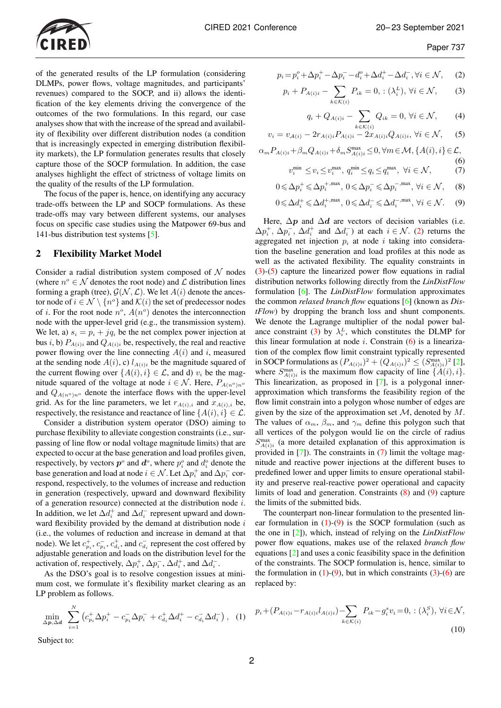

of the generated results of the LP formulation (considering DLMPs, power flows, voltage magnitudes, and participants' revenues) compared to the SOCP, and ii) allows the identification of the key elements driving the convergence of the outcomes of the two formulations. In this regard, our case analyses show that with the increase of the spread and availability of flexibility over different distribution nodes (a condition that is increasingly expected in emerging distribution flexibility markets), the LP formulation generates results that closely capture those of the SOCP formulation. In addition, the case analyses highlight the effect of strictness of voltage limits on the quality of the results of the LP formulation.

The focus of the paper is, hence, on identifying any accuracy trade-offs between the LP and SOCP formulations. As these trade-offs may vary between different systems, our analyses focus on specific case studies using the Matpower 69-bus and 141-bus distribution test systems [\[5\]](#page-4-4).

# 2 Flexibility Market Model

Consider a radial distribution system composed of  $N$  nodes (where  $n^{\circ} \in \mathcal{N}$  denotes the root node) and  $\mathcal{L}$  distribution lines forming a graph (tree),  $G(N, \mathcal{L})$ . We let  $A(i)$  denote the ancestor node of  $i \in \mathcal{N} \setminus \{n^o\}$  and  $\mathcal{K}(i)$  the set of predecessor nodes of *i*. For the root node  $n^{\circ}$ ,  $A(n^{\circ})$  denotes the interconnection node with the upper-level grid (e.g., the transmission system). We let, a)  $s_i = p_i + jq_i$  be the net complex power injection at bus *i*, b)  $P_{A(i)i}$  and  $Q_{A(i)i}$  be, respectively, the real and reactive power flowing over the line connecting  $A(i)$  and i, measured at the sending node  $A(i)$ , c)  $l_{A(i)i}$  be the magnitude squared of the current flowing over  $\{A(i), i\} \in \mathcal{L}$ , and d)  $v_i$  be the magnitude squared of the voltage at node  $i \in \mathcal{N}$ . Here,  $P_{A(n^o)n^o}$ and  $Q_{A(n^o)n^o}$  denote the interface flows with the upper-level grid. As for the line parameters, we let  $r_{A(i),i}$  and  $x_{A(i),i}$  be, respectively, the resistance and reactance of line  $\{A(i), i\} \in \mathcal{L}$ .

Consider a distribution system operator (DSO) aiming to purchase flexibility to alleviate congestion constraints (i.e., surpassing of line flow or nodal voltage magnitude limits) that are expected to occur at the base generation and load profiles given, respectively, by vectors  $p^o$  and  $d^o$ , where  $p_i^o$  and  $d_i^o$  denote the base generation and load at node  $i \in \mathcal{N}$ . Let  $\Delta p_i^+$  and  $\Delta p_i^-$  correspond, respectively, to the volumes of increase and reduction in generation (respectively, upward and downward flexibility of a generation resource) connected at the distribution node i. In addition, we let  $\Delta d_i^+$  and  $\Delta d_i^-$  represent upward and downward flexibility provided by the demand at distribution node  $i$ (i.e., the volumes of reduction and increase in demand at that node). We let  $c_{p_i}^+, c_{p_i}^-, c_{d_i}^+,$  and  $c_{d_i}^-$  represent the cost offered by adjustable generation and loads on the distribution level for the activation of, respectively,  $\Delta p_i^+$ ,  $\Delta p_i^-$ ,  $\Delta d_i^+$ , and  $\Delta d_i^-$ .

As the DSO's goal is to resolve congestion issues at minimum cost, we formulate it's flexibility market clearing as an LP problem as follows.

$$
\min_{\Delta p,\Delta d} \sum_{i=1}^{N} \left( c_{p_i}^+ \Delta p_i^+ - c_{p_i}^- \Delta p_i^- + c_{d_i}^+ \Delta d_i^+ - c_{d_i}^- \Delta d_i^- \right), \tag{1}
$$

 $p_i = p_i^o + \Delta p_i^+ - \Delta p_i^- - d_i^o + \Delta d_i^+ - \Delta d_i^-$ ,  $\forall i \in \mathcal{N}$ , (2)

$$
p_i + P_{A(i)i} - \sum_{k \in \mathcal{K}(i)} P_{ik} = 0, \quad (\lambda_i^L), \forall i \in \mathcal{N}, \tag{3}
$$

<span id="page-1-5"></span><span id="page-1-4"></span><span id="page-1-3"></span><span id="page-1-2"></span><span id="page-1-1"></span><span id="page-1-0"></span>
$$
q_i + Q_{A(i)i} - \sum_{k \in \mathcal{K}(i)} Q_{ik} = 0, \forall i \in \mathcal{N}, \qquad (4)
$$

$$
v_i = v_{A(i)} - 2r_{A(i)i}P_{A(i)i} - 2x_{A(i)i}Q_{A(i)i}, \forall i \in \mathcal{N}, \quad (5)
$$

$$
\alpha_m P_{A(i)i} + \beta_m Q_{A(i)i} + \delta_m S_{A(i)i}^{\text{max}} \le 0, \forall m \in \mathcal{M}, \{A(i), i\} \in \mathcal{L},
$$
\n(6)

<span id="page-1-6"></span>
$$
v_i^{\min} \le v_i \le v_i^{\max}, \ q_i^{\min} \le q_i \le q_i^{\max}, \ \forall i \in \mathcal{N}, \tag{7}
$$

$$
0 \leq \Delta p_i^+ \leq \Delta p_i^{+,\max}, \ 0 \leq \Delta p_i^- \leq \Delta p_i^{-,\max}, \ \forall i \in \mathcal{N}, \tag{8}
$$

$$
0 \leq \Delta d_i^+ \leq \Delta d_i^{+,\max}, \ 0 \leq \Delta d_i^- \leq \Delta d_i^{-,\max}, \ \forall i \in \mathcal{N}.
$$
 (9)

Here,  $\Delta p$  and  $\Delta d$  are vectors of decision variables (i.e.  $\Delta p_i^+$ ,  $\Delta p_i^-$ ,  $\Delta d_i^+$  and  $\Delta d_i^-$ ) at each  $i \in \mathcal{N}$ . [\(2\)](#page-1-0) returns the aggregated net injection  $p_i$  at node i taking into consideration the baseline generation and load profiles at this node as well as the activated flexibility. The equality constraints in [\(3\)](#page-1-1)-[\(5\)](#page-1-2) capture the linearized power flow equations in radial distribution networks following directly from the *LinDistFlow* formulation [\[6\]](#page-4-5). The *LinDistFlow* formulation approximates the common *relaxed branch flow* equations [\[6\]](#page-4-5) (known as *DistFlow*) by dropping the branch loss and shunt components. We denote the Lagrange multiplier of the nodal power bal-ance constraint [\(3\)](#page-1-1) by  $\lambda_i^L$ , which constitutes the DLMP for this linear formulation at node  $i$ . Constrain  $(6)$  is a linearization of the complex flow limit constraint typically represented in SOCP formulations as  $(P_{A(i)i})^2 + (Q_{A(i)i})^2 \leq (S_{A(i)i}^{max})^2$  [\[2\]](#page-4-1), where  $S_{A(i)i}^{\text{max}}$  is the maximum flow capacity of line  $\{A(i), i\}$ . This linearization, as proposed in [\[7\]](#page-4-6), is a polygonal innerapproximation which transforms the feasibility region of the flow limit constrain into a polygon whose number of edges are given by the size of the approximation set  $M$ , denoted by  $M$ . The values of  $\alpha_m$ ,  $\beta_m$ , and  $\gamma_m$  define this polygon such that all vertices of the polygon would lie on the circle of radius  $S_{A(i)i}^{\text{max}}$  (a more detailed explanation of this approximation is provided in  $[7]$ ). The constraints in  $(7)$  limit the voltage magnitude and reactive power injections at the different buses to predefined lower and upper limits to ensure operational stability and preserve real-reactive power operational and capacity limits of load and generation. Constraints [\(8\)](#page-1-5) and [\(9\)](#page-1-6) capture the limits of the submitted bids.

The counterpart non-linear formulation to the presented linear formulation in  $(1)-(9)$  $(1)-(9)$  $(1)-(9)$  is the SOCP formulation (such as the one in [\[2\]](#page-4-1)), which, instead of relying on the *LinDistFlow* power flow equations, makes use of the relaxed *branch flow* equations [\[2\]](#page-4-1) and uses a conic feasibility space in the definition of the constraints. The SOCP formulation is, hence, similar to the formulation in  $(1)-(9)$  $(1)-(9)$  $(1)-(9)$ , but in which constraints  $(3)-(6)$  $(3)-(6)$  $(3)-(6)$  are replaced by:

<span id="page-1-8"></span><span id="page-1-7"></span>
$$
p_i + (P_{A(i)i} - r_{A(i)i}l_{A(i)i}) - \sum_{k \in K(i)} P_{ik} - g_i^s v_i = 0, : (\lambda_i^S), \forall i \in \mathcal{N},
$$
\n(10)

Subject to: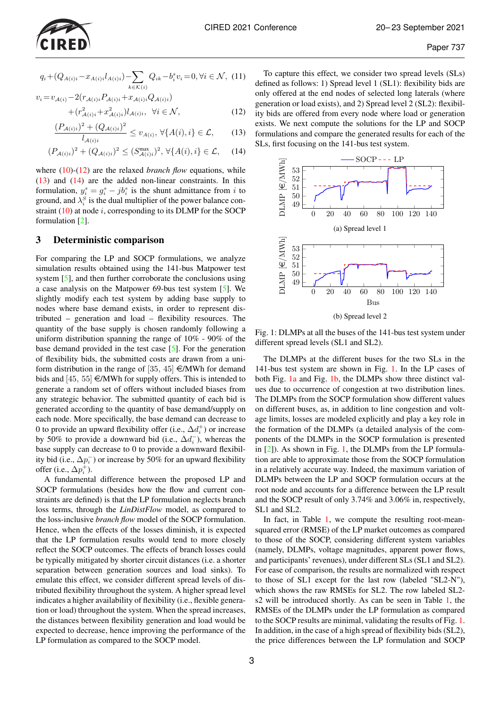

$$
q_i + (Q_{A(i)i} - x_{A(i)i}l_{A(i)i}) - \sum_{k \in K(i)} Q_{ik} - b_i^s v_i = 0, \forall i \in \mathcal{N}, (11)
$$

$$
v_i = v_{\mathcal{A}(i)} - 2(r_{\mathcal{A}(i)i} P_{\mathcal{A}(i)i} + x_{\mathcal{A}(i)i} Q_{\mathcal{A}(i)i}) + (r_{\mathcal{A}(i)i}^2 + x_{\mathcal{A}(i)i}^2) l_{\mathcal{A}(i)i}, \quad \forall i \in \mathcal{N},
$$
\n(12)

$$
\frac{(P_{\mathcal{A}(i)i})^2 + (Q_{\mathcal{A}(i)i})^2}{l_{\mathcal{A}(i)i}} \le v_{A(i)}, \forall \{A(i), i\} \in \mathcal{L},\qquad(13)
$$

$$
(P_{\mathcal{A}(i)i})^2 + (Q_{\mathcal{A}(i)i})^2 \le (S_{\mathcal{A}(i)i}^{\max})^2, \,\forall \{A(i), i\} \in \mathcal{L},\tag{14}
$$

where [\(10\)](#page-1-8)-[\(12\)](#page-2-0) are the relaxed *branch flow* equations, while [\(13\)](#page-2-1) and [\(14\)](#page-2-2) are the added non-linear constraints. In this formulation,  $y_i^s = g_i^s - jb_i^s$  is the shunt admittance from i to ground, and  $\lambda_i^S$  is the dual multiplier of the power balance constraint  $(10)$  at node i, corresponding to its DLMP for the SOCP formulation [\[2\]](#page-4-1).

#### <span id="page-2-4"></span>3 Deterministic comparison

For comparing the LP and SOCP formulations, we analyze simulation results obtained using the 141-bus Matpower test system [\[5\]](#page-4-4), and then further corroborate the conclusions using a case analysis on the Matpower 69-bus test system [\[5\]](#page-4-4). We slightly modify each test system by adding base supply to nodes where base demand exists, in order to represent distributed – generation and load – flexibility resources. The quantity of the base supply is chosen randomly following a uniform distribution spanning the range of 10% - 90% of the base demand provided in the test case [\[5\]](#page-4-4). For the generation of flexibility bids, the submitted costs are drawn from a uniform distribution in the range of [35, 45]  $\in$ /MWh for demand bids and [45, 55]  $\in$ /MWh for supply offers. This is intended to generate a random set of offers without included biases from any strategic behavior. The submitted quantity of each bid is generated according to the quantity of base demand/supply on each node. More specifically, the base demand can decrease to 0 to provide an upward flexibility offer (i.e.,  $\Delta d_i^+$ ) or increase by 50% to provide a downward bid (i.e.,  $\Delta d_i^-$ ), whereas the base supply can decrease to 0 to provide a downward flexibility bid (i.e.,  $\Delta p_i^-$ ) or increase by 50% for an upward flexibility offer (i.e.,  $\Delta p_i^+$ ).

A fundamental difference between the proposed LP and SOCP formulations (besides how the flow and current constraints are defined) is that the LP formulation neglects branch loss terms, through the *LinDistFlow* model, as compared to the loss-inclusive *branch flow* model of the SOCP formulation. Hence, when the effects of the losses diminish, it is expected that the LP formulation results would tend to more closely reflect the SOCP outcomes. The effects of branch losses could be typically mitigated by shorter circuit distances (i.e. a shorter separation between generation sources and load sinks). To emulate this effect, we consider different spread levels of distributed flexibility throughout the system. A higher spread level indicates a higher availability of flexibility (i.e., flexible generation or load) throughout the system. When the spread increases, the distances between flexibility generation and load would be expected to decrease, hence improving the performance of the LP formulation as compared to the SOCP model.

<span id="page-2-0"></span>To capture this effect, we consider two spread levels (SLs) defined as follows: 1) Spread level 1 (SL1): flexibility bids are only offered at the end nodes of selected long laterals (where generation or load exists), and 2) Spread level 2 (SL2): flexibility bids are offered from every node where load or generation exists. We next compute the solutions for the LP and SOCP formulations and compare the generated results for each of the SLs, first focusing on the 141-bus test system.

<span id="page-2-3"></span><span id="page-2-2"></span><span id="page-2-1"></span>

Fig. 1: DLMPs at all the buses of the 141-bus test system under different spread levels (SL1 and SL2).

The DLMPs at the different buses for the two SLs in the 141-bus test system are shown in Fig. [1.](#page-2-3) In the LP cases of both Fig. [1a](#page-2-3) and Fig. [1b,](#page-2-3) the DLMPs show three distinct values due to occurrence of congestion at two distribution lines. The DLMPs from the SOCP formulation show different values on different buses, as, in addition to line congestion and voltage limits, losses are modeled explicitly and play a key role in the formation of the DLMPs (a detailed analysis of the components of the DLMPs in the SOCP formulation is presented in [\[2\]](#page-4-1)). As shown in Fig. [1,](#page-2-3) the DLMPs from the LP formulation are able to approximate those from the SOCP formulation in a relatively accurate way. Indeed, the maximum variation of DLMPs between the LP and SOCP formulation occurs at the root node and accounts for a difference between the LP result and the SOCP result of only 3.74% and 3.06% in, respectively, SL1 and SL2.

In fact, in Table [1,](#page-3-0) we compute the resulting root-meansquared error (RMSE) of the LP market outcomes as compared to those of the SOCP, considering different system variables (namely, DLMPs, voltage magnitudes, apparent power flows, and participants' revenues), under different SLs (SL1 and SL2). For ease of comparison, the results are normalized with respect to those of SL1 except for the last row (labeled "SL2-N"), which shows the raw RMSEs for SL2. The row labeled SL2 s2 will be introduced shortly. As can be seen in Table [1,](#page-3-0) the RMSEs of the DLMPs under the LP formulation as compared to the SOCP results are minimal, validating the results of Fig. [1.](#page-2-3) In addition, in the case of a high spread of flexibility bids (SL2), the price differences between the LP formulation and SOCP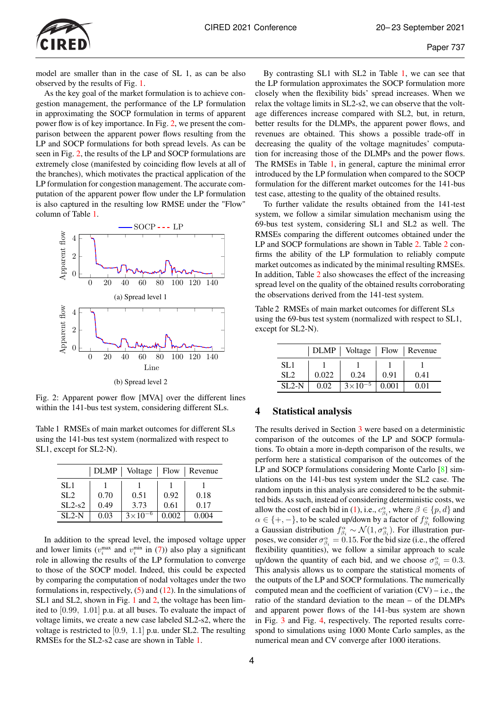

model are smaller than in the case of SL 1, as can be also observed by the results of Fig. [1.](#page-2-3)

As the key goal of the market formulation is to achieve congestion management, the performance of the LP formulation in approximating the SOCP formulation in terms of apparent power flow is of key importance. In Fig. [2,](#page-3-1) we present the comparison between the apparent power flows resulting from the LP and SOCP formulations for both spread levels. As can be seen in Fig. [2,](#page-3-1) the results of the LP and SOCP formulations are extremely close (manifested by coinciding flow levels at all of the branches), which motivates the practical application of the LP formulation for congestion management. The accurate computation of the apparent power flow under the LP formulation is also captured in the resulting low RMSE under the "Flow" column of Table [1.](#page-3-0)

<span id="page-3-1"></span>

(b) Spread level 2

Fig. 2: Apparent power flow [MVA] over the different lines within the 141-bus test system, considering different SLs.

<span id="page-3-0"></span>Table 1 RMSEs of main market outcomes for different SLs using the 141-bus test system (normalized with respect to SL1, except for SL2-N).

|                 | <b>DLMP</b> | Voltage          | Flow  | Revenue |
|-----------------|-------------|------------------|-------|---------|
| SL <sub>1</sub> |             |                  |       |         |
| SL <sub>2</sub> | 0.70        | 0.51             | 0.92  | 0.18    |
| $SL2-s2$        | 0.49        | 3.73             | 0.61  | 0.17    |
| $SL_2-N$        | 0.03        | $3\times10^{-6}$ | 0.002 | 0.004   |

In addition to the spread level, the imposed voltage upper and lower limits ( $v_i^{\text{max}}$  and  $v_i^{\text{min}}$  in [\(7\)](#page-1-4)) also play a significant role in allowing the results of the LP formulation to converge to those of the SOCP model. Indeed, this could be expected by comparing the computation of nodal voltages under the two formulations in, respectively,  $(5)$  and  $(12)$ . In the simulations of SL[1](#page-2-3) and SL[2,](#page-3-1) shown in Fig. 1 and 2, the voltage has been limited to [0.99, 1.01] p.u. at all buses. To evaluate the impact of voltage limits, we create a new case labeled SL2-s2, where the voltage is restricted to [0.9, 1.1] p.u. under SL2. The resulting RMSEs for the SL2-s2 case are shown in Table [1.](#page-3-0)

By contrasting SL1 with SL2 in Table [1,](#page-3-0) we can see that the LP formulation approximates the SOCP formulation more closely when the flexibility bids' spread increases. When we relax the voltage limits in SL2-s2, we can observe that the voltage differences increase compared with SL2, but, in return, better results for the DLMPs, the apparent power flows, and revenues are obtained. This shows a possible trade-off in decreasing the quality of the voltage magnitudes' computation for increasing those of the DLMPs and the power flows. The RMSEs in Table [1,](#page-3-0) in general, capture the minimal error introduced by the LP formulation when compared to the SOCP formulation for the different market outcomes for the 141-bus test case, attesting to the quality of the obtained results.

To further validate the results obtained from the 141-test system, we follow a similar simulation mechanism using the 69-bus test system, considering SL1 and SL2 as well. The RMSEs comparing the different outcomes obtained under the LP and SOCP formulations are shown in Table [2.](#page-3-2) Table [2](#page-3-2) confirms the ability of the LP formulation to reliably compute market outcomes as indicated by the minimal resulting RMSEs. In addition, Table [2](#page-3-2) also showcases the effect of the increasing spread level on the quality of the obtained results corroborating the observations derived from the 141-test system.

<span id="page-3-2"></span>Table 2 RMSEs of main market outcomes for different SLs using the 69-bus test system (normalized with respect to SL1, except for SL2-N).

|                 | DLMP  |                  |       | Voltage   Flow   Revenue |
|-----------------|-------|------------------|-------|--------------------------|
| SL <sub>1</sub> |       |                  |       |                          |
| SL <sub>2</sub> | 0.022 | 0.24             | 0.91  | 0.41                     |
| $SL2-N$         | 0.02  | $3\times10^{-5}$ | 0.001 | 0.01                     |

#### 4 Statistical analysis

The results derived in Section [3](#page-2-4) were based on a deterministic comparison of the outcomes of the LP and SOCP formulations. To obtain a more in-depth comparison of the results, we perform here a statistical comparison of the outcomes of the LP and SOCP formulations considering Monte Carlo [\[8\]](#page-4-7) simulations on the 141-bus test system under the SL2 case. The random inputs in this analysis are considered to be the submitted bids. As such, instead of considering deterministic costs, we allow the cost of each bid in [\(1\)](#page-1-7), i.e.,  $c_{\beta_i}^{\alpha}$ , where  $\beta \in \{p, d\}$  and  $\alpha \in \{+, -\},$  to be scaled up/down by a factor of  $f_{\beta_i}^{\alpha}$  following a Gaussian distribution  $f_{\beta_i}^{\alpha} \sim \mathcal{N}(1, \sigma_{\beta_i}^{\alpha})$ . For illustration purposes, we consider  $\sigma_{\beta_i}^{\alpha} = 0.15$ . For the bid size (i.e., the offered flexibility quantities), we follow a similar approach to scale up/down the quantity of each bid, and we choose  $\sigma_{\beta_i}^{\alpha} = 0.3$ . This analysis allows us to compare the statistical moments of the outputs of the LP and SOCP formulations. The numerically computed mean and the coefficient of variation  $(CV) - i.e.,$  the ratio of the standard deviation to the mean – of the DLMPs and apparent power flows of the 141-bus system are shown in Fig. [3](#page-4-8) and Fig. [4,](#page-4-9) respectively. The reported results correspond to simulations using 1000 Monte Carlo samples, as the numerical mean and CV converge after 1000 iterations.